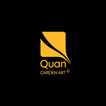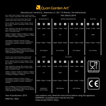

# Manufacturer: Hendi B.V., Steenoven 21, 3911 TX Rhenen, The Netherlands

| Item / Artike I/ Item / Artykuł / Article / Articolo / Articol /<br>πγΗΚΤ / Στοιχείο / Číslo artiklu / Číslo artikla / Tétel / Stavka                                                                         | Quan                                                                                                               |                               | PIN: 0063CU3074                    |                                     |
|---------------------------------------------------------------------------------------------------------------------------------------------------------------------------------------------------------------|--------------------------------------------------------------------------------------------------------------------|-------------------------------|------------------------------------|-------------------------------------|
| Country / Land / Land / Kraj / Payes / Paese / țară /<br>страна / Хώрα / Země / Krajina / Ország / Država                                                                                                     | NL/DE/AT/PL/CH                                                                                                     |                               | BE/FR/LU/GB/IE/GR/IT/PL            | RO/IT/HU                            |
| Burner / Brander / Brenner / Palnik / Brûleur / Brucia-<br>tore / Arzător / ropeлκa / Καυστήρας / Hořák / Horák /<br>égő / Gorilnik                                                                           | О<br>$\Box$<br>$\blacksquare$                                                                                      | $\blacksquare$<br>□<br>$\Box$ | $\Box$<br>$\Box$<br>$\blacksquare$ | О<br>$\blacksquare$<br>$\Box$       |
| Power / Belasting / Leistung / Moc nominaina / Puis-<br>sance / Potenza /Putere / Мощность / Іσχύς / Výkon /<br>Výkon / Áramellátás /Snaga                                                                    | 6.5kW<br>10kW<br>16kW                                                                                              | 8.5kW<br>5.5kW<br>14kW        | 7.5kW 5.0kW 12.5kW                 | 5.5kW<br>8.5kW<br>14 <sub>k</sub> W |
| Category / Categorie / Kategorie / Kategoria / Catégorie /<br>Categoria / Categorie / категория / Катпуоріа / Katego-<br>rie / Kategória / Kategória / Kategorija                                             | I <sub>3</sub> P                                                                                                   | I <sub>3</sub> P              | I <sub>3</sub> P                   | I3B/P                               |
| Consumption / Verbrauch / Verbruik / Zużycie /<br>Consommation / Consumo / Consum / потребление<br>/ Κατανάλωση / Spotřeba / Spotreba / Fogyasztás /<br>Potrošnja                                             | 676g/h 444g/h 1103g/h                                                                                              | 585g/h 385g/h 965g/h          | 526g/h 349g/h 874g/h               | 444g/h 676g/h 1103g/h               |
| Set up / Auflegung / Inrichting / Przeznaczony na /<br>Conçu pour / Configurare / Configurarea / Настройка /<br>Ρύθμιση / Hodnota regulátoru tlaku / Hodnota reguláto-<br>ra tlaku /Beüzemelés / Postavljanje | G31-50mbar                                                                                                         | G31-37mbar                    | G31-30mbar                         | G31-37mbar                          |
| Country / Land / Land / Kraj / Payes / Paese / tară /<br>страна / Хώрα / Země / Krajina / Ország / Država                                                                                                     | CZ/SK                                                                                                              |                               | AT/CH/HR                           |                                     |
| Burner / Brander / Brenner / Palnik / Brûleur / Brucia-<br>tore / Arzător / ropeлκa / Καυστήρας / Hořák / Horák /<br>égő / Gorilnik                                                                           | ◘<br>$\blacksquare$<br>$\Box$                                                                                      | ◘<br>$\blacksquare$<br>$\Box$ | $\Box$<br>$\Box$<br>$\blacksquare$ |                                     |
| Power / Belasting / Leistung / Moc nominaina / Puis-<br>sance / Potenza /Putere / Мощность / Іσχύς / Výkon /<br>Výkon / Áramellátás /Snaga                                                                    | 8.5kW<br>5.5kW<br>14 <sub>k</sub> W                                                                                | 11.5kW 7.5kW 18.5kW           | 9.5kW<br>6.5kW<br>16kW             |                                     |
| Category / Categorie / Kategorie / Kategoria / Catégorie /<br>Categoria / Categorie / категория / Катпуоріа / Katego-<br>rie / Kategória / Kategória / Kategorija                                             | $13+$                                                                                                              | 13B/P                         | I3B/P                              | <b>FOOD CONTACT</b>                 |
| Consumption / Verbrauch / Verbruik / Zużycie /<br>Consommation / Consumo / Consum / потребление<br>/ Κατανάλωση / Spotřeba / Spotreba / Fogyasztás /<br>Potrošnja                                             | 598g/h 402g/h 1010g/h                                                                                              | 801g/h 519g/h 1300g/h         | 679g/h 455g/h 1129g/h              |                                     |
| Set up / Auflegung / Inrichting / Przeznaczony na /<br>Conçu pour / Configurare / Configurarea / Настройка /<br>Ρύθμιση / Hodnota regulátoru tlaku / Hodnota reguláto-<br>ra tlaku /Beüzemelés / Postavljanje | G30/28-30,<br>G31/37 mbar                                                                                          | G30-50mbar                    | G30-37mbar                         |                                     |
| Year of production: 2019                                                                                                                                                                                      | Use outdoors only. Read the instructions before using the appliance.<br>WARNING: accessible parts may be very hot. |                               |                                    |                                     |
| KIWA No.: 0063                                                                                                                                                                                                |                                                                                                                    |                               |                                    |                                     |

Keep young children away.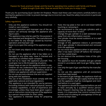#### Passion for food, premium design and the love for spending time outdoors with family and friends is what brought Quan alive. Now we would like to invite you to enjoy it too.

Thank you for purchasing Quan Garden Art fireplace. Please read these user instructions carefully before connecting the appliance in order to prevent damage due to incorrect use. Read the safety instructions in particular very carefully.

### Safety regulations:

- Only use this appliance outdoors. You should not install or use it indoors.
- Incorrect operation and improper use of the appliance can seriously damage the appliance and injure users.
- The appliance may only be used for the purpose it was intended and designed for. The manufacturer is not liable for any damage caused by incorrect operation and improper use.
- Never try to open the casing of the appliance yourself.
- Do not insert any objects in the casing of the appliance.
- Do not use the appliance after it has fallen or is damaged in any other way. Have it checked and repaired by a certified repair company.
- Do not try to repair the appliance yourself. This could give rise to life-threatening situations.
- Always keep an eye on the appliance when in use.
- Children do not understand that incorrect use of appliances can be dangerous. Therefore, never let children use appliances without supervision.
- Do not use any extra devices that are not supplied along with the appliance.
- The use of the installation must comply with the applicable national and local regulations.
- This appliance is not intended for use by persons (including children) with reduced physical, sensory or mental capabilities, or lack of experience and knowledge, unless they have been given supervision or instruction concerning use of the appliance by a person responsible for their safety.
- This appliance is intended solely for preparing food.
- Note: the top plate is hot. Let it cool down before touching or removing it.
- We recommend to use only gas cylinders with a capacity of more than 10 kilo's.
- Change the gas cylinder in a well ventilated area, away from any inflammation sources.
- The cylinder must be stored outdoors or in a well ventilated area.
- Storage of this appliance indoors is permissible only if gas cylinder is disconnected and removed from the appliance.
- Do not move this appliance when in operation, or after it has been turned off before the temperature has cooled down.
- Do not obstruct the ventilation holes of the cylinder housing.
- The appliance must be installed and gas cylinder stored in accordance with local gas fitting regulations.
- Use only the type of gas specified by the manufacturer.
- Do not use this appliance until all connections have been leak tested.
- In the event of gas leakage, the appliance shall not be used or if alight, the gas supply shall be shut off and the appliance shall be investigated and rectified before it is used again.
- The appliance should be inspected before use and at least annually by a qualified service person. More frequent cleaning may be required as necessary. It is imperative that control compartment, burners and circulating air passageways of the appliance be kept clean.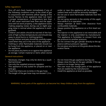### Safety regulations:

- Shut off and check heater immediately if any of the following conditions exist: a) the smell of gas in conjunction with extreme yellow tipping of the burner flames; b) the appliance does not reach a proper temperature. A temperature less than 5ºC will cause restricted heat flow and the appliance will not work properly; c) the appliance starts making popping noises during use (a slight popping noise is normal when the appliance is extinguished).
- Children and adults should be warned of the hazards of high surface temperatures and should stay away to avoid burns or clothing ignition.
- Young children and pets should be carefully supervised when they are in the area of the appliance.
- Clothing or other flammable materials should not be hung from the appliance, or placed on or near the appliance.
- Do not place any items on or against this appliance as storage. Certain material or items when stored

#### General instructions:

- Necessary changes may only be done by a qualified technician.
- Use only the supplied pressure regulator.
- This appliance is only suited for propane and butane gas.
- Check that there are no kinks in the gas hose.
- The length of the gas hose may not exceed 1,5 m.

under or near this appliance will be subjected to radiant heat and could be seriously damaged.

- Do not use or store flammable materials near this appliance.
- Do not spray aerosols in the vicinity of this appliance while it is in operation.
- Always maintain at least 0.9m clearance from combustible materials.
- Always position the appliance on a firm level surface.
- The injector in this appliance is not removable and the injector is only assembled by manufacturer. This appliance is forbidden to convert from one gas pressure to another pressure.
- Do not connect the gas cylinder directly to the appliance without pressure regulator.
- Do not place any items on the grate above the decoration flame.
- Do not move the gas appliance during use.
- Always close the tap on the gas cylinder if the appliance is no longer being used.
- The user must not change parts of the appliance that are sealed by the manufacturer.
- Install the appliance as level as possible.

WARNING: Some parts of the appliance can become hot. Keep children away from the appliance.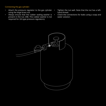Connecting the gas cylinder:

- Attach the pressure regulator to the gas cylinder using the large brass nut.
- Always ensure that the rubber sealing washer is present in the nut. (NB. This rubber washer is not required for UK-type pressure regulators).
- Tighten the nut well. Note that the nut has a lefthand thread.
- Check the connections for leaks using a soap and water solution.

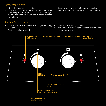#### Igniting the gas burner:

- Open the tap on the gas cylinder.
- Turn the knob to the maximum (big flame) position. Keep the knob pressed and press the ignition button a few times until the burner is burning completely.

# Turning off the gas burner:

- Turn the knob completely to the right (standby) position.
- Wait for the fire to go off.

• Keep the knob pressed in for approximately a further 10 seconds. The burner will continue to burn.

- Close the tap on the gas cylinder.
- Remember that the top plate will stay hot for up to 60 minutes after use.